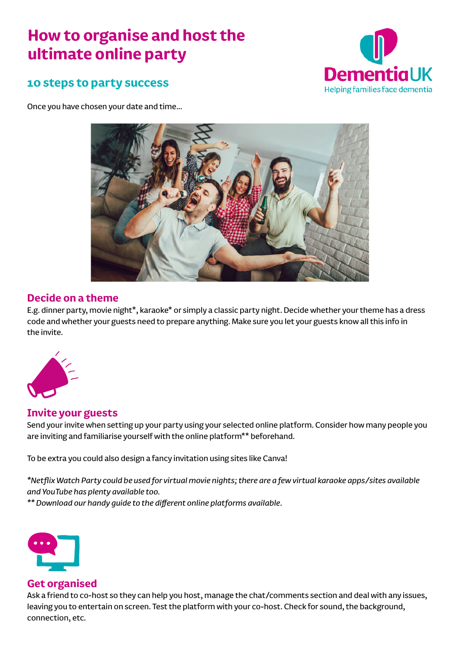# **How to organise and host the ultimate online party**



# **10 steps to party success**

Once you have chosen your date and time…



### **Decide on a theme**

E.g. dinner party, movie night\*, karaoke\* or simply a classic party night. Decide whether your theme has a dress code and whether your guests need to prepare anything. Make sure you let your guests know all this info in the invite.



### **Invite your guests**

Send your invite when setting up your party using your selected online platform. Consider how many people you are inviting and familiarise yourself with the online platform\*\* beforehand.

To be extra you could also design a fancy invitation using sites like Canva!

*\*Netflix Watch Party could be used for virtual movie nights; there are a few virtual karaoke apps/sites available and YouTube has plenty available too.* 

*\*\* Download our handy guide to the different online platforms available.* 



#### **Get organised**

Ask a friend to co-host so they can help you host, manage the chat/comments section and deal with any issues, leaving you to entertain on screen. Test the platform with your co-host. Check for sound, the background, connection, etc.